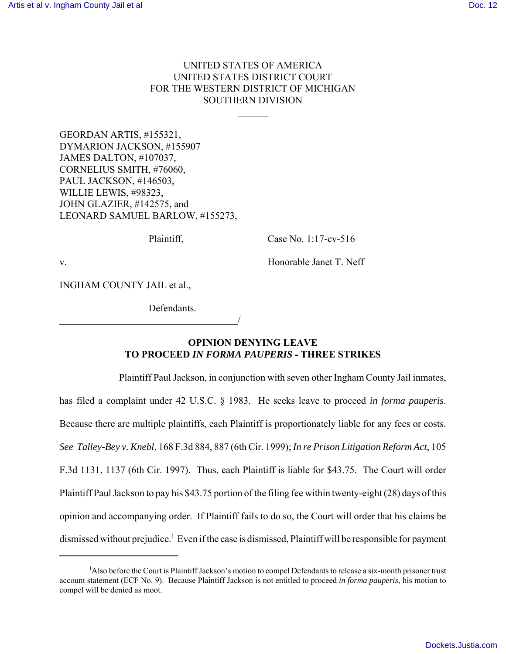## UNITED STATES OF AMERICA UNITED STATES DISTRICT COURT FOR THE WESTERN DISTRICT OF MICHIGAN SOUTHERN DIVISION

 $\overline{a}$ 

GEORDAN ARTIS, #155321, DYMARION JACKSON, #155907 JAMES DALTON, #107037, CORNELIUS SMITH, #76060, PAUL JACKSON, #146503, WILLIE LEWIS, #98323, JOHN GLAZIER, #142575, and LEONARD SAMUEL BARLOW, #155273,

Plaintiff, Case No. 1:17-cv-516

v. Solution of the Honorable Janet T. Neff

INGHAM COUNTY JAIL et al.,

Defendants.

\_\_\_\_\_\_\_\_\_\_\_\_\_\_\_\_\_\_\_\_\_\_\_\_\_\_\_\_\_\_\_\_\_\_\_\_/

## **OPINION DENYING LEAVE TO PROCEED** *IN FORMA PAUPERIS* **- THREE STRIKES**

Plaintiff Paul Jackson, in conjunction with seven other Ingham County Jail inmates, has filed a complaint under 42 U.S.C. § 1983. He seeks leave to proceed *in forma pauperis*. Because there are multiple plaintiffs, each Plaintiff is proportionately liable for any fees or costs. *See Talley-Bey v. Knebl*, 168 F.3d 884, 887 (6th Cir. 1999); *In re Prison Litigation Reform Act*, 105 F.3d 1131, 1137 (6th Cir. 1997). Thus, each Plaintiff is liable for \$43.75. The Court will order Plaintiff Paul Jackson to pay his \$43.75 portion of the filing fee within twenty-eight (28) days of this opinion and accompanying order. If Plaintiff fails to do so, the Court will order that his claims be dismissed without prejudice.<sup>1</sup> Even if the case is dismissed, Plaintiff will be responsible for payment

<sup>1</sup>Also before the Court is Plaintiff Jackson's motion to compel Defendants to release a six-month prisoner trust account statement (ECF No. 9). Because Plaintiff Jackson is not entitled to proceed *in forma pauperis*, his motion to compel will be denied as moot.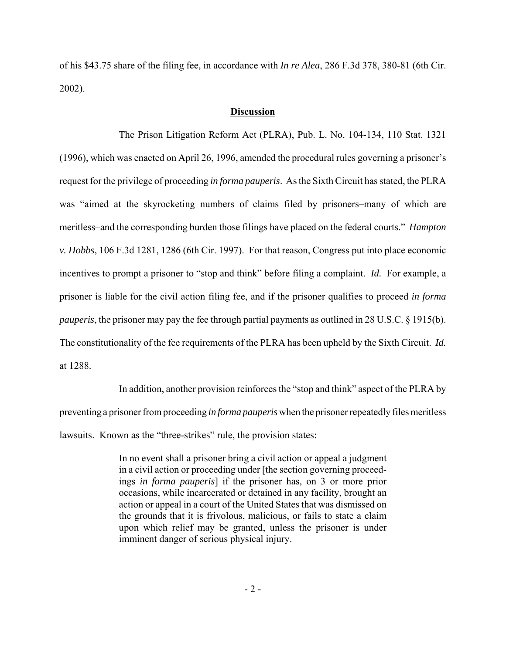of his \$43.75 share of the filing fee, in accordance with *In re Alea*, 286 F.3d 378, 380-81 (6th Cir. 2002).

## **Discussion**

The Prison Litigation Reform Act (PLRA), Pub. L. No. 104-134, 110 Stat. 1321 (1996), which was enacted on April 26, 1996, amended the procedural rules governing a prisoner's request for the privilege of proceeding *in forma pauperis*. As the Sixth Circuit has stated, the PLRA was "aimed at the skyrocketing numbers of claims filed by prisoners–many of which are meritless–and the corresponding burden those filings have placed on the federal courts." *Hampton v. Hobbs*, 106 F.3d 1281, 1286 (6th Cir. 1997). For that reason, Congress put into place economic incentives to prompt a prisoner to "stop and think" before filing a complaint. *Id.* For example, a prisoner is liable for the civil action filing fee, and if the prisoner qualifies to proceed *in forma pauperis*, the prisoner may pay the fee through partial payments as outlined in 28 U.S.C. § 1915(b). The constitutionality of the fee requirements of the PLRA has been upheld by the Sixth Circuit. *Id.* at 1288.

In addition, another provision reinforces the "stop and think" aspect of the PLRA by preventing a prisoner from proceeding *in forma pauperis* when the prisoner repeatedly files meritless lawsuits. Known as the "three-strikes" rule, the provision states:

> In no event shall a prisoner bring a civil action or appeal a judgment in a civil action or proceeding under [the section governing proceedings *in forma pauperis*] if the prisoner has, on 3 or more prior occasions, while incarcerated or detained in any facility, brought an action or appeal in a court of the United States that was dismissed on the grounds that it is frivolous, malicious, or fails to state a claim upon which relief may be granted, unless the prisoner is under imminent danger of serious physical injury.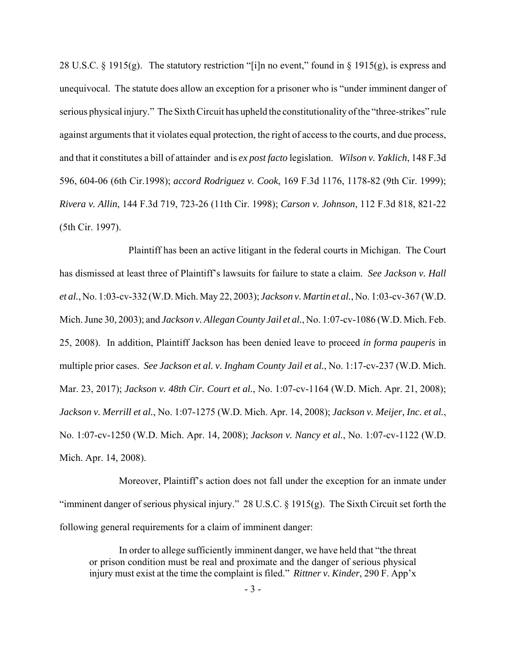28 U.S.C. § 1915(g). The statutory restriction "[i]n no event," found in § 1915(g), is express and unequivocal. The statute does allow an exception for a prisoner who is "under imminent danger of serious physical injury." The Sixth Circuit has upheld the constitutionality of the "three-strikes" rule against arguments that it violates equal protection, the right of access to the courts, and due process, and that it constitutes a bill of attainder and is *ex post facto* legislation. *Wilson v. Yaklich*, 148 F.3d 596, 604-06 (6th Cir.1998); *accord Rodriguez v. Cook*, 169 F.3d 1176, 1178-82 (9th Cir. 1999); *Rivera v. Allin*, 144 F.3d 719, 723-26 (11th Cir. 1998); *Carson v. Johnson*, 112 F.3d 818, 821-22 (5th Cir. 1997).

 Plaintiff has been an active litigant in the federal courts in Michigan. The Court has dismissed at least three of Plaintiff's lawsuits for failure to state a claim. *See Jackson v. Hall et al.*, No. 1:03-cv-332 (W.D. Mich. May 22, 2003); *Jackson v. Martin et al.*, No. 1:03-cv-367 (W.D. Mich. June 30, 2003); and *Jackson v. Allegan County Jail et al.*, No. 1:07-cv-1086 (W.D. Mich. Feb. 25, 2008). In addition, Plaintiff Jackson has been denied leave to proceed *in forma pauperis* in multiple prior cases. *See Jackson et al. v. Ingham County Jail et al.*, No. 1:17-cv-237 (W.D. Mich. Mar. 23, 2017); *Jackson v. 48th Cir. Court et al.*, No. 1:07-cv-1164 (W.D. Mich. Apr. 21, 2008); *Jackson v. Merrill et al.*, No. 1:07-1275 (W.D. Mich. Apr. 14, 2008); *Jackson v. Meijer, Inc. et al.*, No. 1:07-cv-1250 (W.D. Mich. Apr. 14, 2008); *Jackson v. Nancy et al.*, No. 1:07-cv-1122 (W.D. Mich. Apr. 14, 2008).

Moreover, Plaintiff's action does not fall under the exception for an inmate under "imminent danger of serious physical injury." 28 U.S.C.  $\S$  1915(g). The Sixth Circuit set forth the following general requirements for a claim of imminent danger:

In order to allege sufficiently imminent danger, we have held that "the threat or prison condition must be real and proximate and the danger of serious physical injury must exist at the time the complaint is filed." *Rittner v. Kinder*, 290 F. App'x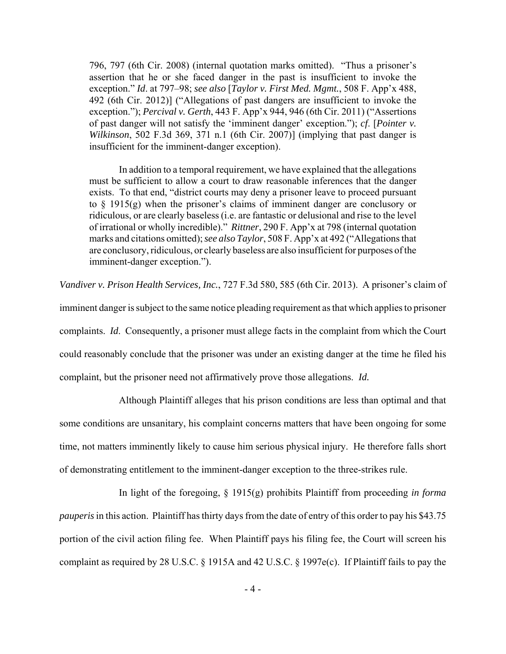796, 797 (6th Cir. 2008) (internal quotation marks omitted). "Thus a prisoner's assertion that he or she faced danger in the past is insufficient to invoke the exception." *Id*. at 797–98; *see also* [*Taylor v. First Med. Mgmt.*, 508 F. App'x 488, 492 (6th Cir. 2012)] ("Allegations of past dangers are insufficient to invoke the exception."); *Percival v. Gerth*, 443 F. App'x 944, 946 (6th Cir. 2011) ("Assertions of past danger will not satisfy the 'imminent danger' exception."); *cf*. [*Pointer v. Wilkinson*, 502 F.3d 369, 371 n.1 (6th Cir. 2007)] (implying that past danger is insufficient for the imminent-danger exception).

In addition to a temporal requirement, we have explained that the allegations must be sufficient to allow a court to draw reasonable inferences that the danger exists. To that end, "district courts may deny a prisoner leave to proceed pursuant to  $\S$  1915(g) when the prisoner's claims of imminent danger are conclusory or ridiculous, or are clearly baseless (i.e. are fantastic or delusional and rise to the level of irrational or wholly incredible)." *Rittner*, 290 F. App'x at 798 (internal quotation marks and citations omitted); *see also Taylor*, 508 F. App'x at 492 ("Allegations that are conclusory, ridiculous, or clearly baseless are also insufficient for purposes of the imminent-danger exception.").

*Vandiver v. Prison Health Services, Inc.*, 727 F.3d 580, 585 (6th Cir. 2013). A prisoner's claim of

imminent danger is subject to the same notice pleading requirement as that which applies to prisoner complaints. *Id*. Consequently, a prisoner must allege facts in the complaint from which the Court could reasonably conclude that the prisoner was under an existing danger at the time he filed his complaint, but the prisoner need not affirmatively prove those allegations. *Id.*

Although Plaintiff alleges that his prison conditions are less than optimal and that some conditions are unsanitary, his complaint concerns matters that have been ongoing for some time, not matters imminently likely to cause him serious physical injury. He therefore falls short of demonstrating entitlement to the imminent-danger exception to the three-strikes rule.

In light of the foregoing, § 1915(g) prohibits Plaintiff from proceeding *in forma pauperis* in this action. Plaintiff has thirty days from the date of entry of this order to pay his \$43.75 portion of the civil action filing fee. When Plaintiff pays his filing fee, the Court will screen his complaint as required by 28 U.S.C. § 1915A and 42 U.S.C. § 1997e(c). If Plaintiff fails to pay the